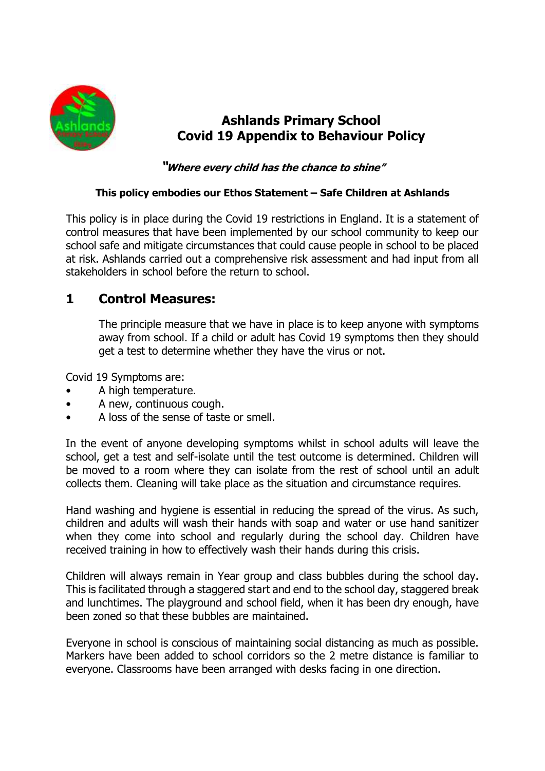

# **Ashlands Primary School Covid 19 Appendix to Behaviour Policy**

### **"Where every child has the chance to shine"**

#### **This policy embodies our Ethos Statement – Safe Children at Ashlands**

This policy is in place during the Covid 19 restrictions in England. It is a statement of control measures that have been implemented by our school community to keep our school safe and mitigate circumstances that could cause people in school to be placed at risk. Ashlands carried out a comprehensive risk assessment and had input from all stakeholders in school before the return to school.

## **1 Control Measures:**

The principle measure that we have in place is to keep anyone with symptoms away from school. If a child or adult has Covid 19 symptoms then they should get a test to determine whether they have the virus or not.

Covid 19 Symptoms are:

- A high temperature.
- A new, continuous cough.
- A loss of the sense of taste or smell.

In the event of anyone developing symptoms whilst in school adults will leave the school, get a test and self-isolate until the test outcome is determined. Children will be moved to a room where they can isolate from the rest of school until an adult collects them. Cleaning will take place as the situation and circumstance requires.

Hand washing and hygiene is essential in reducing the spread of the virus. As such, children and adults will wash their hands with soap and water or use hand sanitizer when they come into school and regularly during the school day. Children have received training in how to effectively wash their hands during this crisis.

Children will always remain in Year group and class bubbles during the school day. This is facilitated through a staggered start and end to the school day, staggered break and lunchtimes. The playground and school field, when it has been dry enough, have been zoned so that these bubbles are maintained.

Everyone in school is conscious of maintaining social distancing as much as possible. Markers have been added to school corridors so the 2 metre distance is familiar to everyone. Classrooms have been arranged with desks facing in one direction.